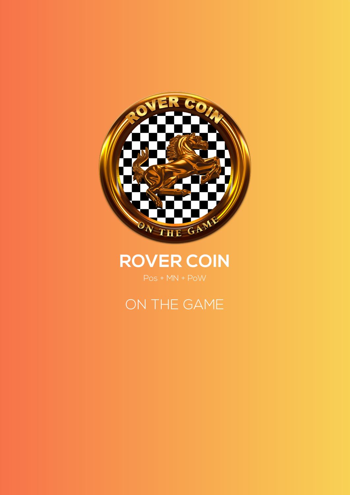

# **ROVER COIN**

# ON THE GAME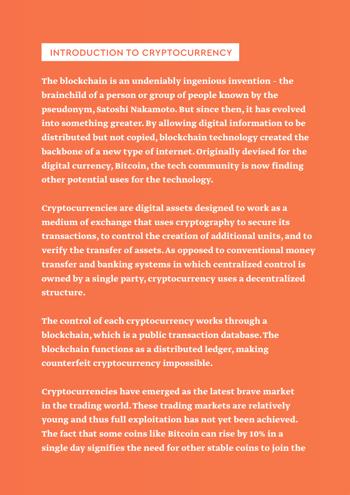#### INTRODUCTION TO CRYPTOCURRENCY

**The blockchain is an undeniably ingenious invention – the brainchild of a person or group of people known by the pseudonym, Satoshi Nakamoto. But since then, it has evolved into something greater. By allowing digital information to be distributed but not copied, blockchain technology created the backbone of a new type of internet. Originally devised for the digital currency, Bitcoin, the tech community is now finding other potential uses for the technology.**

**Cryptocurrencies are digital assets designed to work as a medium of exchange that uses cryptography to secure its transactions, to control the creation of additional units, and to verify the transfer of assets. As opposed to conventional money transfer and banking systems in which centralized control is owned by a single party, cryptocurrency uses a decentralized structure.**

**The control of each cryptocurrency works through a blockchain, which is a public transaction database. The blockchain functions as a distributed ledger, making counterfeit cryptocurrency impossible.**

**Cryptocurrencies have emerged as the latest brave market in the trading world. These trading markets are relatively young and thus full exploitation has not yet been achieved. The fact that some coins like Bitcoin can rise by 10% in a single day signifies the need for other stable coins to join the**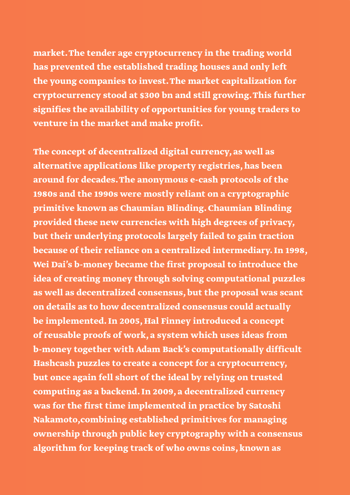**market. The tender age cryptocurrency in the trading world has prevented the established trading houses and only left the young companies to invest. The market capitalization for cryptocurrency stood at \$300 bn and still growing. This further signifies the availability of opportunities for young traders to venture in the market and make profit.**

**The concept of decentralized digital currency, as well as alternative applications like property registries, has been around for decades. The anonymous e-cash protocols of the 1980s and the 1990s were mostly reliant on a cryptographic primitive known as Chaumian Blinding. Chaumian Blinding provided these new currencies with high degrees of privacy, but their underlying protocols largely failed to gain traction because of their reliance on a centralized intermediary. In 1998, Wei Dai's b-money became the first proposal to introduce the idea of creating money through solving computational puzzles as well as decentralized consensus, but the proposal was scant on details as to how decentralized consensus could actually be implemented. In 2005, Hal Finney introduced a concept of reusable proofs of work, a system which uses ideas from b-money together with Adam Back's computationally difficult Hashcash puzzles to create a concept for a cryptocurrency, but once again fell short of the ideal by relying on trusted computing as a backend. In 2009, a decentralized currency was for the first time implemented in practice by Satoshi Nakamoto,combining established primitives for managing ownership through public key cryptography with a consensus algorithm for keeping track of who owns coins, known as**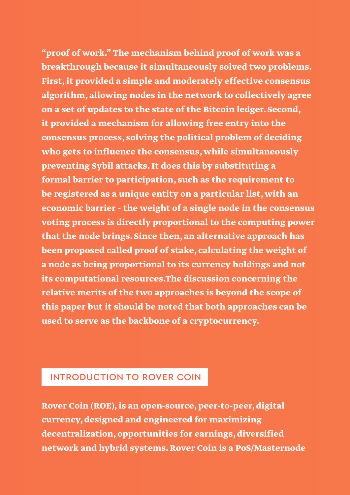**"proof of work." The mechanism behind proof of work was a breakthrough because it simultaneously solved two problems. First, it provided a simple and moderately effective consensus algorithm, allowing nodes in the network to collectively agree on a set of updates to the state of the Bitcoin ledger. Second, it provided a mechanism for allowing free entry into the consensus process, solving the political problem of deciding who gets to influence the consensus, while simultaneously preventing Sybil attacks. It does this by substituting a formal barrier to participation, such as the requirement to be registered as a unique entity on a particular list, with an economic barrier - the weight of a single node in the consensus voting process is directly proportional to the computing power that the node brings. Since then, an alternative approach has been proposed called proof of stake, calculating the weight of a node as being proportional to its currency holdings and not its computational resources.The discussion concerning the relative merits of the two approaches is beyond the scope of this paper but it should be noted that both approaches can be used to serve as the backbone of a cryptocurrency.**

## INTRODUCTION TO ROVER COIN

**Rover Coin (ROE), is an open-source, peer-to-peer, digital currency, designed and engineered for maximizing decentralization, opportunities for earnings, diversified network and hybrid systems. Rover Coin is a PoS/Masternode**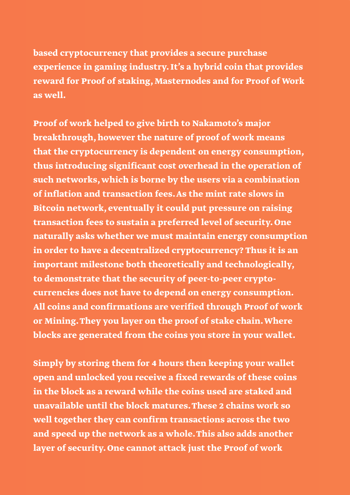**based cryptocurrency that provides a secure purchase experience in gaming industry. It's a hybrid coin that provides reward for Proof of staking, Masternodes and for Proof of Work as well.**

**Proof of work helped to give birth to Nakamoto's major breakthrough, however the nature of proof of work means that the cryptocurrency is dependent on energy consumption, thus introducing significant cost overhead in the operation of such networks, which is borne by the users via a combination of inflation and transaction fees. As the mint rate slows in Bitcoin network, eventually it could put pressure on raising transaction fees to sustain a preferred level of security. One naturally asks whether we must maintain energy consumption in order to have a decentralized cryptocurrency? Thus it is an important milestone both theoretically and technologically, to demonstrate that the security of peer-to-peer cryptocurrencies does not have to depend on energy consumption. All coins and confirmations are verified through Proof of work or Mining. They you layer on the proof of stake chain. Where blocks are generated from the coins you store in your wallet.** 

**Simply by storing them for 4 hours then keeping your wallet open and unlocked you receive a fixed rewards of these coins in the block as a reward while the coins used are staked and unavailable until the block matures. These 2 chains work so well together they can confirm transactions across the two and speed up the network as a whole. This also adds another layer of security. One cannot attack just the Proof of work**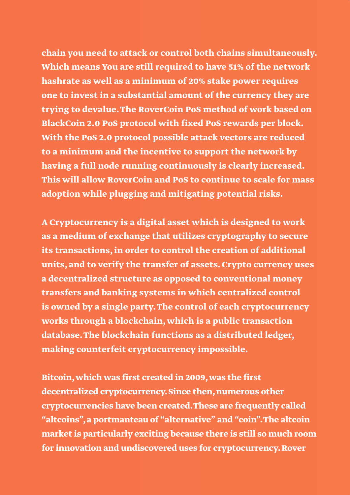**chain you need to attack or control both chains simultaneously. Which means You are still required to have 51% of the network hashrate as well as a minimum of 20% stake power requires one to invest in a substantial amount of the currency they are trying to devalue. The RoverCoin PoS method of work based on BlackCoin 2.0 PoS protocol with fixed PoS rewards per block. With the PoS 2.0 protocol possible attack vectors are reduced to a minimum and the incentive to support the network by having a full node running continuously is clearly increased. This will allow RoverCoin and PoS to continue to scale for mass adoption while plugging and mitigating potential risks.** 

**A Cryptocurrency is a digital asset which is designed to work as a medium of exchange that utilizes cryptography to secure its transactions, in order to control the creation of additional units, and to verify the transfer of assets. Crypto currency uses a decentralized structure as opposed to conventional money transfers and banking systems in which centralized control is owned by a single party. The control of each cryptocurrency works through a blockchain, which is a public transaction database. The blockchain functions as a distributed ledger, making counterfeit cryptocurrency impossible.**

**Bitcoin, which was first created in 2009, was the first decentralized cryptocurrency. Since then, numerous other cryptocurrencies have been created. These are frequently called "altcoins", a portmanteau of "alternative" and "coin". The altcoin market is particularly exciting because there is still so much room for innovation and undiscovered uses for cryptocurrency. Rover**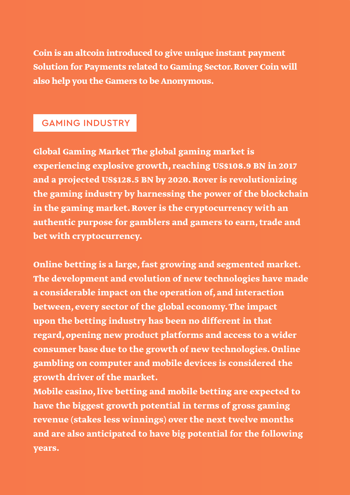**Coin is an altcoin introduced to give unique instant payment Solution for Payments related to Gaming Sector. Rover Coin will also help you the Gamers to be Anonymous.**

# GAMING INDUSTRY

**Global Gaming Market The global gaming market is experiencing explosive growth, reaching US\$108.9 BN in 2017 and a projected US\$128.5 BN by 2020. Rover is revolutionizing the gaming industry by harnessing the power of the blockchain in the gaming market. Rover is the cryptocurrency with an authentic purpose for gamblers and gamers to earn, trade and bet with cryptocurrency.**

**Online betting is a large, fast growing and segmented market. The development and evolution of new technologies have made a considerable impact on the operation of, and interaction between, every sector of the global economy. The impact upon the betting industry has been no different in that regard, opening new product platforms and access to a wider consumer base due to the growth of new technologies. Online gambling on computer and mobile devices is considered the growth driver of the market.** 

**Mobile casino, live betting and mobile betting are expected to have the biggest growth potential in terms of gross gaming revenue (stakes less winnings) over the next twelve months and are also anticipated to have big potential for the following years.**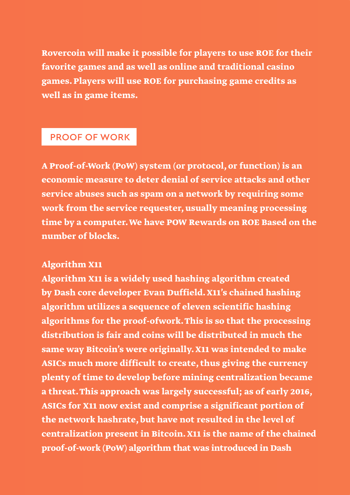**Rovercoin will make it possible for players to use ROE for their favorite games and as well as online and traditional casino games. Players will use ROE for purchasing game credits as well as in game items.** 

#### PROOF OF WORK

**A Proof-of-Work (PoW) system (or protocol, or function) is an economic measure to deter denial of service attacks and other service abuses such as spam on a network by requiring some work from the service requester, usually meaning processing time by a computer. We have POW Rewards on ROE Based on the number of blocks.**

#### Algorithm X11

**Algorithm X11 is a widely used hashing algorithm created by Dash core developer Evan Duffield. X11's chained hashing algorithm utilizes a sequence of eleven scientific hashing algorithms for the proof-ofwork. This is so that the processing distribution is fair and coins will be distributed in much the same way Bitcoin's were originally. X11 was intended to make ASICs much more difficult to create, thus giving the currency plenty of time to develop before mining centralization became a threat. This approach was largely successful; as of early 2016, ASICs for X11 now exist and comprise a significant portion of the network hashrate, but have not resulted in the level of centralization present in Bitcoin. X11 is the name of the chained proof-of-work (PoW) algorithm that was introduced in Dash**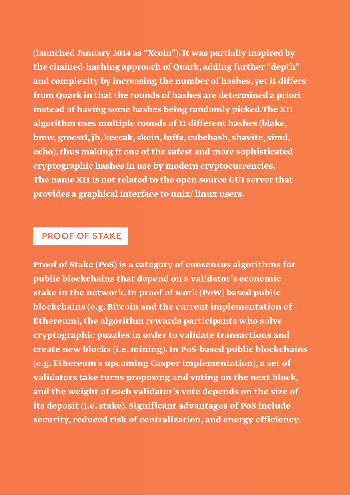**(launched January 2014 as "Xcoin"). It was partially inspired by the chained-hashing approach of Quark, adding further "depth" and complexity by increasing the number of hashes, yet it differs from Quark in that the rounds of hashes are determined a priori instead of having some hashes being randomly picked.The X11 algorithm uses multiple rounds of 11 different hashes (blake, bmw, groestl, jh, keccak, skein, luffa, cubehash, shavite, simd, echo), thus making it one of the safest and more sophisticated cryptographic hashes in use by modern cryptocurrencies. The name X11 is not related to the open source GUI server that provides a graphical interface to unix/ linux users.** 

#### PROOF OF STAKE

**Proof of Stake (PoS) is a category of consensus algorithms for public blockchains that depend on a validator's economic stake in the network. In proof of work (PoW) based public blockchains (e.g. Bitcoin and the current implementation of Ethereum), the algorithm rewards participants who solve cryptographic puzzles in order to validate transactions and create new blocks (i.e. mining). In PoS-based public blockchains (e.g. Ethereum's upcoming Casper implementation), a set of validators take turns proposing and voting on the next block, and the weight of each validator's vote depends on the size of its deposit (i.e. stake). Significant advantages of PoS include security, reduced risk of centralization, and energy efficiency.**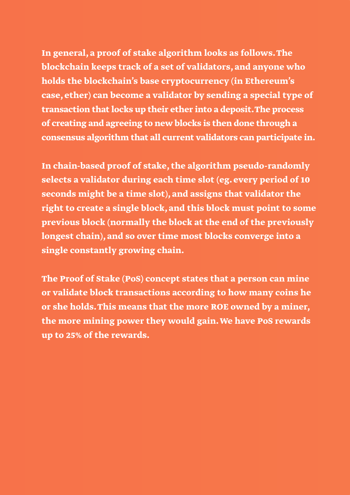**In general, a proof of stake algorithm looks as follows. The blockchain keeps track of a set of validators, and anyone who holds the blockchain's base cryptocurrency (in Ethereum's case, ether) can become a validator by sending a special type of transaction that locks up their ether into a deposit. The process of creating and agreeing to new blocks is then done through a consensus algorithm that all current validators can participate in.**

**In chain-based proof of stake, the algorithm pseudo-randomly selects a validator during each time slot (eg. every period of 10 seconds might be a time slot), and assigns that validator the right to create a single block, and this block must point to some previous block (normally the block at the end of the previously longest chain), and so over time most blocks converge into a single constantly growing chain.**

**The Proof of Stake (PoS) concept states that a person can mine or validate block transactions according to how many coins he or she holds. This means that the more ROE owned by a miner, the more mining power they would gain. We have PoS rewards up to 25% of the rewards.**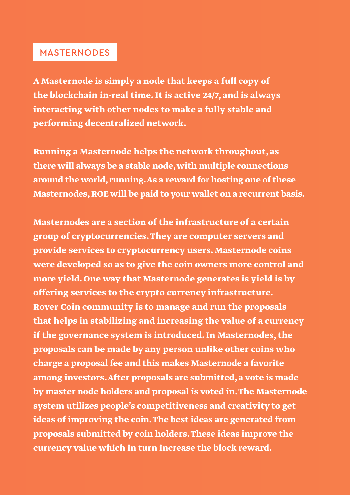## MASTERNODES

**A Masternode is simply a node that keeps a full copy of the blockchain in-real time. It is active 24/7, and is always interacting with other nodes to make a fully stable and performing decentralized network.**

**Running a Masternode helps the network throughout, as there will always be a stable node, with multiple connections around the world, running. As a reward for hosting one of these Masternodes, ROE will be paid to your wallet on a recurrent basis.**

**Masternodes are a section of the infrastructure of a certain group of cryptocurrencies. They are computer servers and provide services to cryptocurrency users. Masternode coins were developed so as to give the coin owners more control and more yield. One way that Masternode generates is yield is by offering services to the crypto currency infrastructure. Rover Coin community is to manage and run the proposals that helps in stabilizing and increasing the value of a currency if the governance system is introduced. In Masternodes, the proposals can be made by any person unlike other coins who charge a proposal fee and this makes Masternode a favorite among investors. After proposals are submitted, a vote is made by master node holders and proposal is voted in. The Masternode system utilizes people's competitiveness and creativity to get ideas of improving the coin. The best ideas are generated from proposals submitted by coin holders. These ideas improve the currency value which in turn increase the block reward.**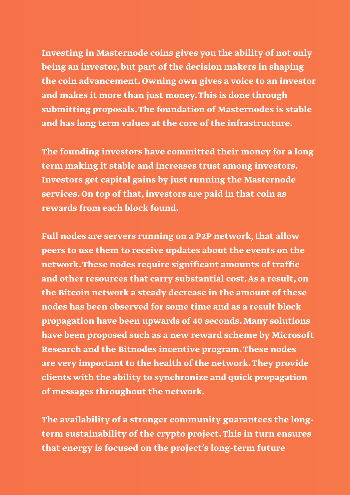**Investing in Masternode coins gives you the ability of not only being an investor, but part of the decision makers in shaping the coin advancement. Owning own gives a voice to an investor and makes it more than just money. This is done through submitting proposals. The foundation of Masternodes is stable and has long term values at the core of the infrastructure.**

**The founding investors have committed their money for a long term making it stable and increases trust among investors. Investors get capital gains by just running the Masternode services. On top of that, investors are paid in that coin as rewards from each block found.**

**Full nodes are servers running on a P2P network, that allow peers to use them to receive updates about the events on the network. These nodes require significant amounts of traffic and other resources that carry substantial cost. As a result, on the Bitcoin network a steady decrease in the amount of these nodes has been observed for some time and as a result block propagation have been upwards of 40 seconds. Many solutions have been proposed such as a new reward scheme by Microsoft Research and the Bitnodes incentive program. These nodes are very important to the health of the network. They provide clients with the ability to synchronize and quick propagation of messages throughout the network.** 

**The availability of a stronger community guarantees the longterm sustainability of the crypto project. This in turn ensures that energy is focused on the project's long-term future**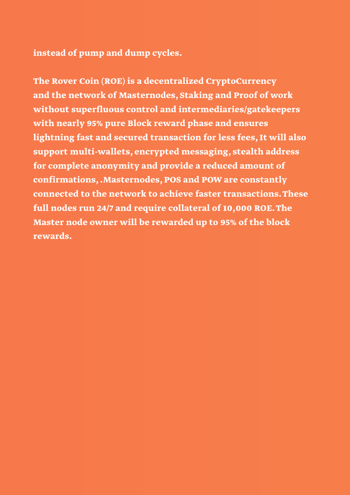**instead of pump and dump cycles.**

**The Rover Coin (ROE) is a decentralized CryptoCurrency and the network of Masternodes, Staking and Proof of work without superfluous control and intermediaries/gatekeepers with nearly 95% pure Block reward phase and ensures lightning fast and secured transaction for less fees, It will also support multi-wallets, encrypted messaging, stealth address for complete anonymity and provide a reduced amount of confirmations, .Masternodes, POS and POW are constantly connected to the network to achieve faster transactions. These full nodes run 24/7 and require collateral of 10,000 ROE. The Master node owner will be rewarded up to 95% of the block rewards.**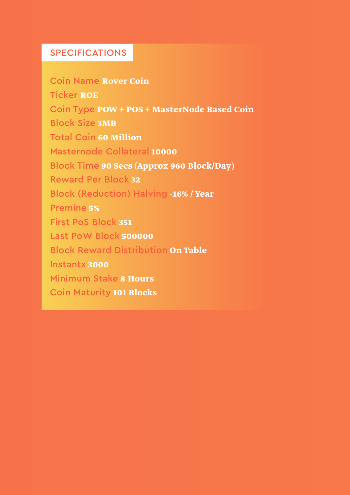#### SPECIFICATIONS

Coin Name **Rover Coin** Ticker **ROE** Coin Type **POW + POS + MasterNode Based Coin** Block Size **3MB** Total Coin **60 Million** Masternode Collateral **10000** Block Time **90 Secs (Approx 960 Block/Day)** Reward Per Block **32** Block (Reduction) Halving **-16% / Year** Premine **5%** First PoS Block **351** Last PoW Block **500000** Block Reward Distribution **On Table** Instantx **3000** Minimum Stake **8 Hours** Coin Maturity **101 Blocks**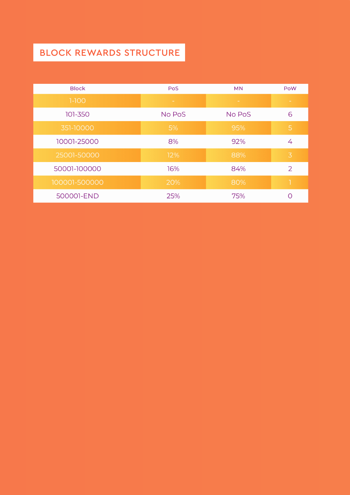# BLOCK REWARDS STRUCTURE

| <b>Block</b>  | <b>PoS</b> | <b>MN</b> | PoW            |
|---------------|------------|-----------|----------------|
| $1-100$       |            |           |                |
| 101-350       | No PoS     | No PoS    | 6              |
| 351-10000     | 5%         | 95%       | 5              |
| 10001-25000   | 8%         | 92%       | 4              |
| 25001-50000   | 12%        | 88%       | $\overline{3}$ |
| 50001-100000  | 16%        | 84%       | 2              |
| 100001-500000 | 20%        | 80%       |                |
| 500001-END    | 25%        | 75%       | ∩              |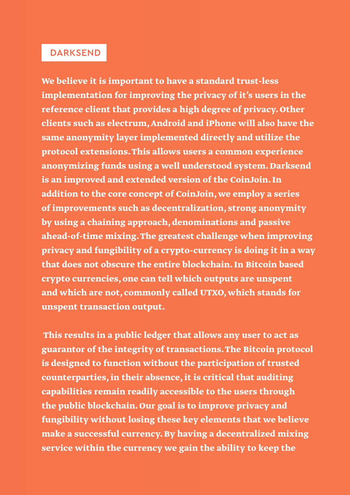#### DARKSEND

**We believe it is important to have a standard trust-less implementation for improving the privacy of it's users in the reference client that provides a high degree of privacy. Other clients such as electrum, Android and iPhone will also have the same anonymity layer implemented directly and utilize the protocol extensions. This allows users a common experience anonymizing funds using a well understood system. Darksend is an improved and extended version of the CoinJoin. In addition to the core concept of CoinJoin, we employ a series of improvements such as decentralization, strong anonymity by using a chaining approach, denominations and passive ahead-of-time mixing. The greatest challenge when improving privacy and fungibility of a crypto-currency is doing it in a way that does not obscure the entire blockchain. In Bitcoin based crypto currencies, one can tell which outputs are unspent and which are not, commonly called UTXO, which stands for unspent transaction output.**

 **This results in a public ledger that allows any user to act as guarantor of the integrity of transactions. The Bitcoin protocol is designed to function without the participation of trusted counterparties, in their absence, it is critical that auditing capabilities remain readily accessible to the users through the public blockchain. Our goal is to improve privacy and fungibility without losing these key elements that we believe make a successful currency. By having a decentralized mixing service within the currency we gain the ability to keep the**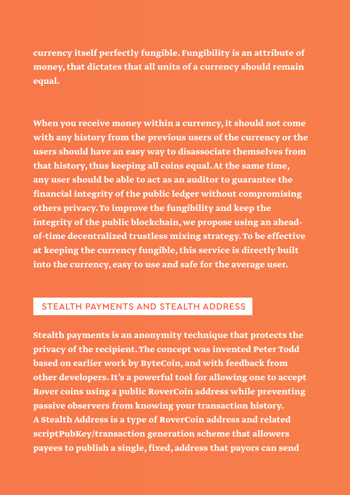**currency itself perfectly fungible. Fungibility is an attribute of money, that dictates that all units of a currency should remain equal.**

**When you receive money within a currency, it should not come with any history from the previous users of the currency or the users should have an easy way to disassociate themselves from that history, thus keeping all coins equal. At the same time, any user should be able to act as an auditor to guarantee the financial integrity of the public ledger without compromising others privacy. To improve the fungibility and keep the integrity of the public blockchain, we propose using an aheadof-time decentralized trustless mixing strategy. To be effective at keeping the currency fungible, this service is directly built into the currency, easy to use and safe for the average user.** 

#### STEALTH PAYMENTS AND STEALTH ADDRESS

**Stealth payments is an anonymity technique that protects the privacy of the recipient. The concept was invented Peter Todd based on earlier work by ByteCoin, and with feedback from other developers. It's a powerful tool for allowing one to accept Rover coins using a public RoverCoin address while preventing passive observers from knowing your transaction history. A Stealth Address is a type of RoverCoin address and related scriptPubKey/transaction generation scheme that allowers payees to publish a single, fixed, address that payors can send**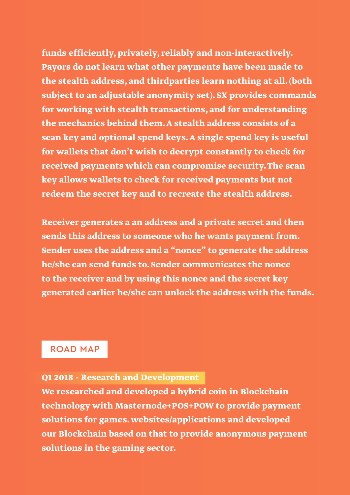**funds efficiently, privately, reliably and non-interactively. Payors do not learn what other payments have been made to the stealth address, and thirdparties learn nothing at all. (both subject to an adjustable anonymity set). SX provides commands for working with stealth transactions, and for understanding the mechanics behind them. A stealth address consists of a scan key and optional spend keys. A single spend key is useful for wallets that don't wish to decrypt constantly to check for received payments which can compromise security. The scan key allows wallets to check for received payments but not redeem the secret key and to recreate the stealth address.** 

**Receiver generates a an address and a private secret and then sends this address to someone who he wants payment from. Sender uses the address and a "nonce" to generate the address he/she can send funds to. Sender communicates the nonce to the receiver and by using this nonce and the secret key generated earlier he/she can unlock the address with the funds.**

#### ROAD MAP

#### **Q1 2018 - Research and Development**

**We researched and developed a hybrid coin in Blockchain technology with Masternode+POS+POW to provide payment solutions for games. websites/applications and developed our Blockchain based on that to provide anonymous payment solutions in the gaming sector.**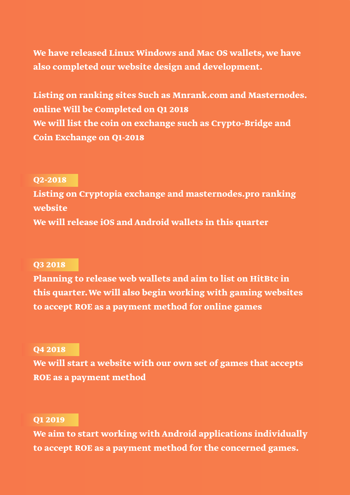**We have released Linux Windows and Mac OS wallets, we have also completed our website design and development.**

**Listing on ranking sites Such as Mnrank.com and Masternodes. online Will be Completed on Q1 2018 We will list the coin on exchange such as Crypto-Bridge and Coin Exchange on Q1-2018**

#### **Q2-2018**

**Listing on Cryptopia exchange and masternodes.pro ranking website We will release iOS and Android wallets in this quarter**

#### **Q3 2018**

**Planning to release web wallets and aim to list on HitBtc in this quarter. We will also begin working with gaming websites to accept ROE as a payment method for online games**

#### **Q4 2018**

**We will start a website with our own set of games that accepts ROE as a payment method**

#### **Q1 2019**

**We aim to start working with Android applications individually to accept ROE as a payment method for the concerned games.**